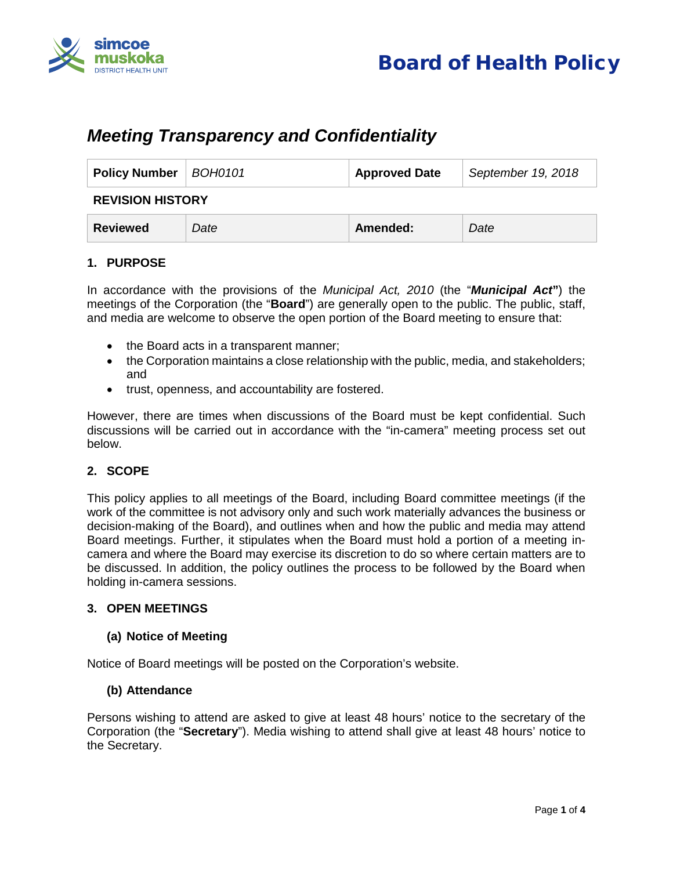



# *Meeting Transparency and Confidentiality*

| Policy Number   BOH0101 |      | <b>Approved Date</b> | September 19, 2018 |
|-------------------------|------|----------------------|--------------------|
| <b>REVISION HISTORY</b> |      |                      |                    |
| Reviewed                | Date | Amended:             | Date               |

# **1. PURPOSE**

In accordance with the provisions of the *Municipal Act, 2010* (the "*Municipal Act***"**) the meetings of the Corporation (the "**Board**") are generally open to the public. The public, staff, and media are welcome to observe the open portion of the Board meeting to ensure that:

- the Board acts in a transparent manner;
- the Corporation maintains a close relationship with the public, media, and stakeholders; and
- trust, openness, and accountability are fostered.

However, there are times when discussions of the Board must be kept confidential. Such discussions will be carried out in accordance with the "in-camera" meeting process set out below.

# **2. SCOPE**

This policy applies to all meetings of the Board, including Board committee meetings (if the work of the committee is not advisory only and such work materially advances the business or decision-making of the Board), and outlines when and how the public and media may attend Board meetings. Further, it stipulates when the Board must hold a portion of a meeting incamera and where the Board may exercise its discretion to do so where certain matters are to be discussed. In addition, the policy outlines the process to be followed by the Board when holding in-camera sessions.

#### **3. OPEN MEETINGS**

#### **(a) Notice of Meeting**

Notice of Board meetings will be posted on the Corporation's website.

#### **(b) Attendance**

Persons wishing to attend are asked to give at least 48 hours' notice to the secretary of the Corporation (the "**Secretary**"). Media wishing to attend shall give at least 48 hours' notice to the Secretary.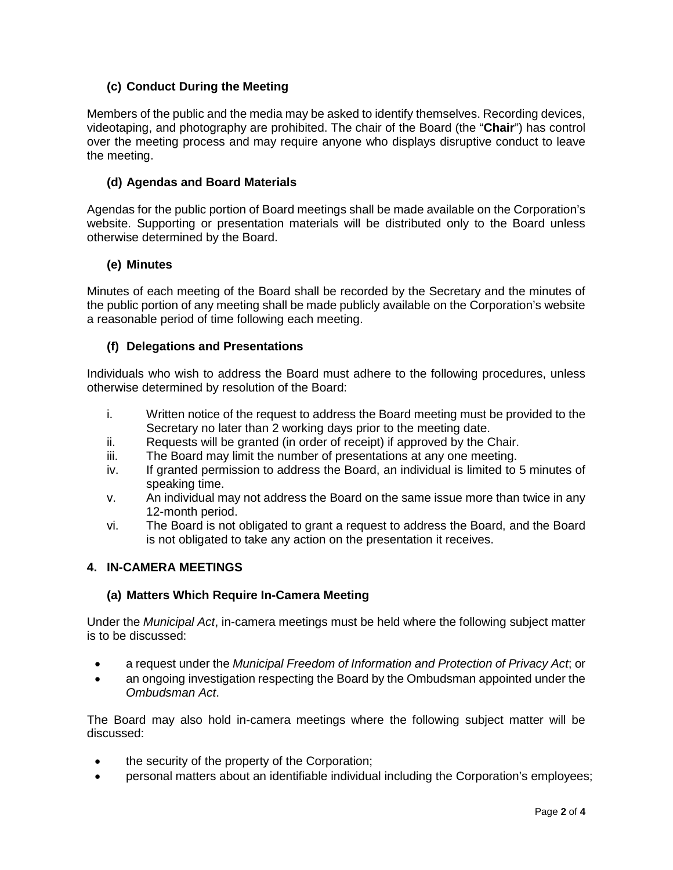# **(c) Conduct During the Meeting**

Members of the public and the media may be asked to identify themselves. Recording devices, videotaping, and photography are prohibited. The chair of the Board (the "**Chair**") has control over the meeting process and may require anyone who displays disruptive conduct to leave the meeting.

## **(d) Agendas and Board Materials**

Agendas for the public portion of Board meetings shall be made available on the Corporation's website. Supporting or presentation materials will be distributed only to the Board unless otherwise determined by the Board.

## **(e) Minutes**

Minutes of each meeting of the Board shall be recorded by the Secretary and the minutes of the public portion of any meeting shall be made publicly available on the Corporation's website a reasonable period of time following each meeting.

## **(f) Delegations and Presentations**

Individuals who wish to address the Board must adhere to the following procedures, unless otherwise determined by resolution of the Board:

- i. Written notice of the request to address the Board meeting must be provided to the Secretary no later than 2 working days prior to the meeting date.
- ii. Requests will be granted (in order of receipt) if approved by the Chair.
- iii. The Board may limit the number of presentations at any one meeting.
- iv. If granted permission to address the Board, an individual is limited to 5 minutes of speaking time.
- v. An individual may not address the Board on the same issue more than twice in any 12-month period.
- vi. The Board is not obligated to grant a request to address the Board, and the Board is not obligated to take any action on the presentation it receives.

# **4. IN-CAMERA MEETINGS**

# **(a) Matters Which Require In-Camera Meeting**

Under the *Municipal Act*, in-camera meetings must be held where the following subject matter is to be discussed:

- a request under the *Municipal Freedom of Information and Protection of Privacy Act*; or
- an ongoing investigation respecting the Board by the Ombudsman appointed under the *Ombudsman Act*.

The Board may also hold in-camera meetings where the following subject matter will be discussed:

- the security of the property of the Corporation;
- personal matters about an identifiable individual including the Corporation's employees;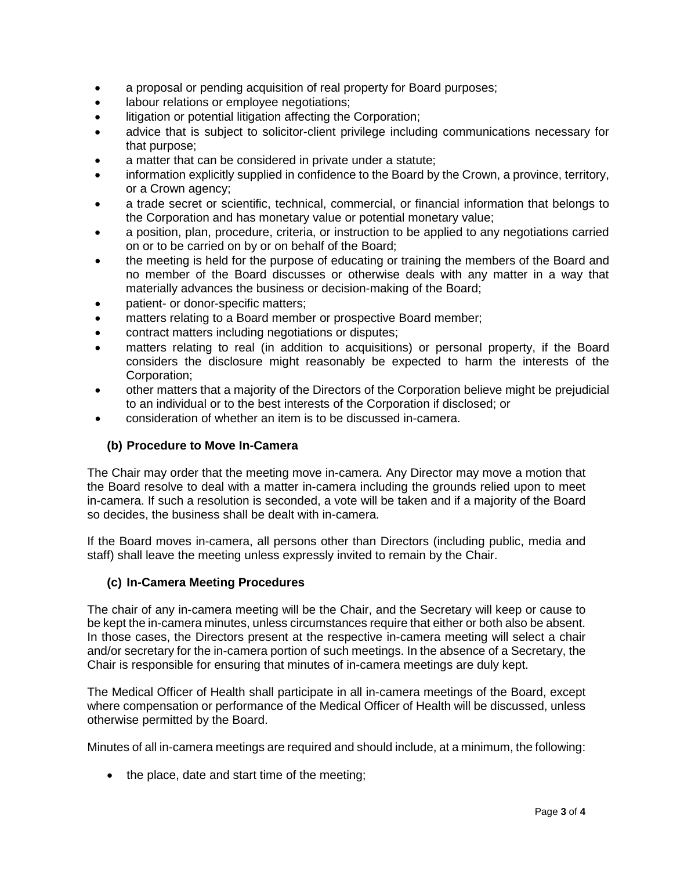- a proposal or pending acquisition of real property for Board purposes;
- labour relations or employee negotiations;
- litigation or potential litigation affecting the Corporation;
- advice that is subject to solicitor-client privilege including communications necessary for that purpose;
- a matter that can be considered in private under a statute;
- information explicitly supplied in confidence to the Board by the Crown, a province, territory, or a Crown agency;
- a trade secret or scientific, technical, commercial, or financial information that belongs to the Corporation and has monetary value or potential monetary value;
- a position, plan, procedure, criteria, or instruction to be applied to any negotiations carried on or to be carried on by or on behalf of the Board;
- the meeting is held for the purpose of educating or training the members of the Board and no member of the Board discusses or otherwise deals with any matter in a way that materially advances the business or decision-making of the Board;
- patient- or donor-specific matters;
- matters relating to a Board member or prospective Board member;
- contract matters including negotiations or disputes;
- matters relating to real (in addition to acquisitions) or personal property, if the Board considers the disclosure might reasonably be expected to harm the interests of the Corporation;
- other matters that a majority of the Directors of the Corporation believe might be prejudicial to an individual or to the best interests of the Corporation if disclosed; or
- consideration of whether an item is to be discussed in-camera.

# **(b) Procedure to Move In-Camera**

The Chair may order that the meeting move in-camera. Any Director may move a motion that the Board resolve to deal with a matter in-camera including the grounds relied upon to meet in-camera. If such a resolution is seconded, a vote will be taken and if a majority of the Board so decides, the business shall be dealt with in-camera.

If the Board moves in-camera, all persons other than Directors (including public, media and staff) shall leave the meeting unless expressly invited to remain by the Chair.

#### **(c) In-Camera Meeting Procedures**

The chair of any in-camera meeting will be the Chair, and the Secretary will keep or cause to be kept the in-camera minutes, unless circumstances require that either or both also be absent. In those cases, the Directors present at the respective in-camera meeting will select a chair and/or secretary for the in-camera portion of such meetings. In the absence of a Secretary, the Chair is responsible for ensuring that minutes of in-camera meetings are duly kept.

The Medical Officer of Health shall participate in all in-camera meetings of the Board, except where compensation or performance of the Medical Officer of Health will be discussed, unless otherwise permitted by the Board.

Minutes of all in-camera meetings are required and should include, at a minimum, the following:

• the place, date and start time of the meeting;